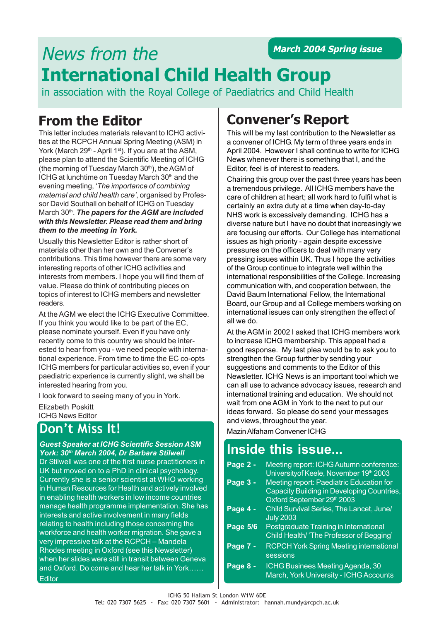**March 2004 Spring issue**

# News from the **International Child Health Group**

in association with the Royal College of Paediatrics and Child Health

### **From the Editor**

This letter includes materials relevant to ICHG activities at the RCPCH Annual Spring Meeting (ASM) in York (March 29<sup>th</sup> - April 1st). If you are at the ASM, please plan to attend the Scientific Meeting of ICHG (the morning of Tuesday March  $30<sup>th</sup>$ ), the AGM of ICHG at lunchtime on Tuesday March  $30<sup>th</sup>$  and the evening meeting, '*The importance of combining maternal and child health care'*, organised by Professor David Southall on behalf of ICHG on Tuesday March 30th. *The papers for the AGM are included with this Newsletter. Please read them and bring them to the meeting in York.*

Usually this Newsletter Editor is rather short of materials other than her own and the Convener's contributions. This time however there are some very interesting reports of other ICHG activities and interests from members. I hope you will find them of value. Please do think of contributing pieces on topics of interest to ICHG members and newsletter readers.

At the AGM we elect the ICHG Executive Committee. If you think you would like to be part of the EC, please nominate yourself. Even if you have only recently come to this country we should be interested to hear from you - we need people with international experience. From time to time the EC co-opts ICHG members for particular activities so, even if your paediatric experience is currently slight, we shall be interested hearing from you.

I look forward to seeing many of you in York.

Elizabeth Poskitt ICHG News Editor

### **Don't Miss It!** Maximal Mazin Alfaham Convener ICHG

*Guest Speaker at ICHG Scientific Session ASM York: 30th March 2004, Dr Barbara Stilwell* Dr Stilwell was one of the first nurse practitioners in

UK but moved on to a PhD in clinical psychology. Currently she is a senior scientist at WHO working in Human Resources for Health and actively involved in enabling health workers in low income countries manage health programme implementation. She has interests and active involvement in many fields relating to health including those concerning the workforce and health worker migration. She gave a very impressive talk at the RCPCH – Mandela Rhodes meeting in Oxford (see this Newsletter) when her slides were still in transit between Geneva and Oxford. Do come and hear her talk in York…… **Editor** 

## **Convener's Report**

This will be my last contribution to the Newsletter as a convener of ICHG. My term of three years ends in April 2004. However I shall continue to write for ICHG News whenever there is something that I, and the Editor, feel is of interest to readers.

Chairing this group over the past three years has been a tremendous privilege. All ICHG members have the care of children at heart; all work hard to fulfil what is certainly an extra duty at a time when day-to-day NHS work is excessively demanding. ICHG has a diverse nature but I have no doubt that increasingly we are focusing our efforts. Our College has international issues as high priority - again despite excessive pressures on the officers to deal with many very pressing issues within UK. Thus I hope the activities of the Group continue to integrate well within the international responsibilities of the College. Increasing communication with, and cooperation between, the David Baum International Fellow, the International Board, our Group and all College members working on international issues can only strengthen the effect of all we do.

At the AGM in 2002 I asked that ICHG members work to increase ICHG membership. This appeal had a good response. My last plea would be to ask you to strengthen the Group further by sending your suggestions and comments to the Editor of this Newsletter. ICHG News is an important tool which we can all use to advance advocacy issues, research and international training and education. We should not wait from one AGM in York to the next to put our ideas forward. So please do send your messages and views, throughout the year.

### **Inside this issue...**

**Page 2 -** Meeting report: ICHG Autumn conference: Universityof Keele, November 19th 2003 **Page 3 -** Meeting report: Paediatric Education for Capacity Building in Developing Countries, Oxford September 29th 2003 **Page 4 -** Child Survival Series, The Lancet, June/ July 2003 **Page 5/6** Postgraduate Training in International Child Health/ 'The Professor of Begging' **Page 7 -** RCPCH York Spring Meeting international sessions **Page 8 -** ICHG Businees Meeting Agenda, 30 March, York University - ICHG Accounts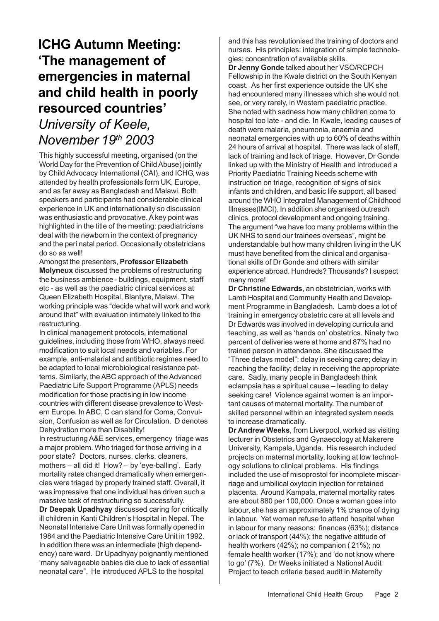### **ICHG Autumn Meeting: 'The management of emergencies in maternal and child health in poorly resourced countries'**

### *University of Keele, November 19th 2003*

This highly successful meeting, organised (on the World Day for the Prevention of Child Abuse) jointly by Child Advocacy International (CAI), and ICHG, was attended by health professionals form UK, Europe, and as far away as Bangladesh and Malawi. Both speakers and participants had considerable clinical experience in UK and internationally so discussion was enthusiastic and provocative. A key point was highlighted in the title of the meeting: paediatricians deal with the newborn in the context of pregnancy and the peri natal period. Occasionally obstetricians do so as well!

Amongst the presenters, **Professor Elizabeth Molyneux** discussed the problems of restructuring the business ambience - buildings, equipment, staff etc - as well as the paediatric clinical services at Queen Elizabeth Hospital, Blantyre, Malawi. The working principle was "decide what will work and work around that" with evaluation intimately linked to the restructuring.

In clinical management protocols, international guidelines, including those from WHO, always need modification to suit local needs and variables. For example, anti-malarial and antibiotic regimes need to be adapted to local microbiological resistance patterns. Similarly, the ABC approach of the Advanced Paediatric Life Support Programme (APLS) needs modification for those practising in low income countries with different disease prevalence to Western Europe. In ABC, C can stand for Coma, Convulsion, Confusion as well as for Circulation. D denotes Dehydration more than Disability!

In restructuring A&E services, emergency triage was a major problem. Who triaged for those arriving in a poor state? Doctors, nurses, clerks, cleaners, mothers – all did it! How? – by 'eye-balling'. Early mortality rates changed dramatically when emergencies were triaged by properly trained staff. Overall, it was impressive that one individual has driven such a massive task of restructuring so successfully.

**Dr Deepak Upadhyay** discussed caring for critically ill children in Kanti Children's Hospital in Nepal. The Neonatal Intensive Care Unit was formally opened in 1984 and the Paediatric Intensive Care Unit in 1992. In addition there was an intermediate (high dependency) care ward. Dr Upadhyay poignantly mentioned 'many salvageable babies die due to lack of essential neonatal care". He introduced APLS to the hospital

and this has revolutionised the training of doctors and nurses. His principles: integration of simple technologies; concentration of available skills.

**Dr Jenny Gonde** talked about her VSO/RCPCH Fellowship in the Kwale district on the South Kenyan coast. As her first experience outside the UK she had encountered many illnesses which she would not see, or very rarely, in Western paediatric practice. She noted with sadness how many children come to hospital too late - and die. In Kwale, leading causes of death were malaria, pneumonia, anaemia and neonatal emergencies with up to 60% of deaths within 24 hours of arrival at hospital. There was lack of staff, lack of training and lack of triage. However, Dr Gonde linked up with the Ministry of Health and introduced a Priority Paediatric Training Needs scheme with instruction on triage, recognition of signs of sick infants and children, and basic life support, all based around the WHO Integrated Management of Childhood Illnesses(IMCI). In addition she organised outreach clinics, protocol development and ongoing training. The argument "we have too many problems within the UK NHS to send our trainees overseas", might be understandable but how many children living in the UK must have benefited from the clinical and organisational skills of Dr Gonde and others with similar experience abroad. Hundreds? Thousands? I suspect many more!

**Dr Christine Edwards**, an obstetrician, works with Lamb Hospital and Community Health and Development Programme in Bangladesh. Lamb does a lot of training in emergency obstetric care at all levels and Dr Edwards was involved in developing curricula and teaching, as well as 'hands on' obstetrics. Ninety two percent of deliveries were at home and 87% had no trained person in attendance. She discussed the "Three delays model": delay in seeking care; delay in reaching the facility; delay in receiving the appropriate care. Sadly, many people in Bangladesh think eclampsia has a spiritual cause – leading to delay seeking care! Violence against women is an important causes of maternal mortality. The number of skilled personnel within an integrated system needs to increase dramatically.

**Dr Andrew Weeks**, from Liverpool, worked as visiting lecturer in Obstetrics and Gynaecology at Makerere University, Kampala, Uganda. His research included projects on maternal mortality, looking at low technology solutions to clinical problems. His findings included the use of misoprostol for incomplete miscarriage and umbilical oxytocin injection for retained placenta. Around Kampala, maternal mortality rates are about 880 per 100,000. Once a woman goes into labour, she has an approximately 1% chance of dying in labour. Yet women refuse to attend hospital when in labour for many reasons: finances (63%); distance or lack of transport (44%); the negative attitude of health workers (42%); no companion ( 21%); no female health worker (17%); and 'do not know where to go' (7%). Dr Weeks initiated a National Audit Project to teach criteria based audit in Maternity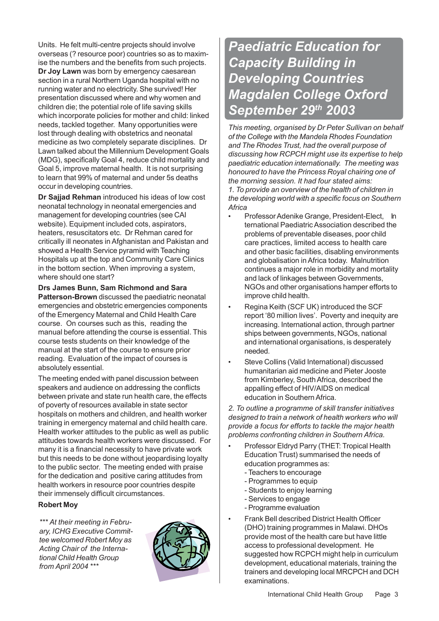Units. He felt multi-centre projects should involve overseas (? resource poor) countries so as to maximise the numbers and the benefits from such projects. **Dr Joy Lawn** was born by emergency caesarean section in a rural Northern Uganda hospital with no running water and no electricity. She survived! Her presentation discussed where and why women and children die; the potential role of life saving skills which incorporate policies for mother and child: linked needs, tackled together. Many opportunities were lost through dealing with obstetrics and neonatal medicine as two completely separate disciplines. Dr Lawn talked about the Millennium Development Goals (MDG), specifically Goal 4, reduce child mortality and Goal 5, improve maternal health. It is not surprising to learn that 99% of maternal and under 5s deaths occur in developing countries.

**Dr Sajjad Rehman** introduced his ideas of low cost neonatal technology in neonatal emergencies and management for developing countries (see CAI website). Equipment included cots, aspirators, heaters, resuscitators etc. Dr Rehman cared for critically ill neonates in Afghanistan and Pakistan and showed a Health Service pyramid with Teaching Hospitals up at the top and Community Care Clinics in the bottom section. When improving a system, where should one start?

**Drs James Bunn, Sam Richmond and Sara Patterson-Brown** discussed the paediatric neonatal emergencies and obstetric emergencies components of the Emergency Maternal and Child Health Care course. On courses such as this, reading the manual before attending the course is essential. This course tests students on their knowledge of the manual at the start of the course to ensure prior reading. Evaluation of the impact of courses is absolutely essential.

The meeting ended with panel discussion between speakers and audience on addressing the conflicts between private and state run health care, the effects of poverty of resources available in state sector hospitals on mothers and children, and health worker training in emergency maternal and child health care. Health worker attitudes to the public as well as public attitudes towards health workers were discussed. For many it is a financial necessity to have private work but this needs to be done without jeopardising loyalty to the public sector. The meeting ended with praise for the dedication and positive caring attitudes from health workers in resource poor countries despite their immensely difficult circumstances.

#### **Robert Moy**

*\*\*\* At their meeting in February, ICHG Executive Committee welcomed Robert Moy as Acting Chair of the International Child Health Group from April 2004 \*\*\**



### *Paediatric Education for Capacity Building in Developing Countries Magdalen College Oxford September 29th 2003*

*This meeting, organised by Dr Peter Sullivan on behalf of the College with the Mandela Rhodes Foundation and The Rhodes Trust, had the overall purpose of discussing how RCPCH might use its expertise to help paediatric education internationally. The meeting was honoured to have the Princess Royal chairing one of the morning session. It had four stated aims: 1. To provide an overview of the health of children in the developing world with a specific focus on Southern Africa*

- Professor Adenike Grange, President-Elect, In ternational Paediatric Association described the problems of preventable diseases, poor child care practices, limited access to health care and other basic facilities, disabling environments and globalisation in Africa today. Malnutrition continues a major role in morbidity and mortality and lack of linkages between Governments, NGOs and other organisations hamper efforts to improve child health.
- Regina Keith (SCF UK) introduced the SCF report '80 million lives'. Poverty and inequity are increasing. International action, through partner ships between governments, NGOs, national and international organisations, is desperately needed.
- Steve Collins (Valid International) discussed humanitarian aid medicine and Pieter Jooste from Kimberley, South Africa, described the appalling effect of HIV/AIDS on medical education in Southern Africa.

*2. To outline a programme of skill transfer initiatives designed to train a network of health workers who will provide a focus for efforts to tackle the major health problems confronting children in Southern Africa.*

- Professor Eldryd Parry (THET: Tropical Health Education Trust) summarised the needs of education programmes as:
	- Teachers to encourage
	- Programmes to equip
	- Students to enjoy learning
	- Services to engage
	- Programme evaluation
- Frank Bell described District Health Officer (DHO) training programmes in Malawi. DHOs provide most of the health care but have little access to professional development. He suggested how RCPCH might help in curriculum development, educational materials, training the trainers and developing local MRCPCH and DCH examinations.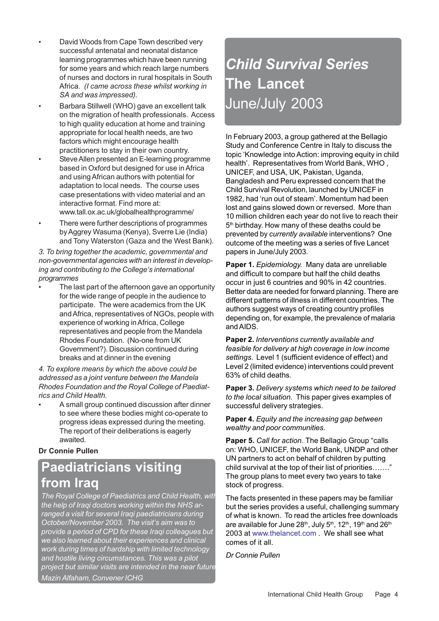- David Woods from Cape Town described very successful antenatal and neonatal distance learning programmes which have been running for some years and which reach large numbers of nurses and doctors in rural hospitals in South Africa. *(I came across these whilst working in SA and was impressed).*
- Barbara Stillwell (WHO) gave an excellent talk on the migration of health professionals. Access to high quality education at home and training appropriate for local health needs, are two factors which might encourage health practitioners to stay in their own country.
- Steve Allen presented an E-learning programme based in Oxford but designed for use in Africa and using African authors with potential for adaptation to local needs. The course uses case presentations with video material and an interactive format. Find more at: www.tall.ox.ac.uk/globalhealthprogramme/
- There were further descriptions of programmes by Aggrey Wasuma (Kenya), Sverre Lie (India) and Tony Waterston (Gaza and the West Bank).

*3. To bring together the academic, governmental and non-governmental agencies with an interest in developing and contributing to the College's international programmes*

The last part of the afternoon gave an opportunity for the wide range of people in the audience to participate. The were academics from the UK and Africa, representatives of NGOs, people with experience of working in Africa, College representatives and people from the Mandela Rhodes Foundation. (No-one from UK Government?). Discussion continued during breaks and at dinner in the evening

*4. To explore means by which the above could be addressed as a joint venture between the Mandela Rhodes Foundation and the Royal College of Paediatrics and Child Health.*

• A small group continued discussion after dinner to see where these bodies might co-operate to progress ideas expressed during the meeting. The report of their deliberations is eagerly awaited.

#### **Dr Connie Pullen**

### **Paediatricians visiting from Iraq**

*The Royal College of Paediatrics and Child Health, with the help of Iraqi doctors working within the NHS arranged a visit for several Iraqi paediatricians during October/November 2003. The visit's aim was to provide a period of CPD for these Iraqi colleagues but we also learned about their experiences and clinical work during times of hardship with limited technology and hostile living circumstances. This was a pilot project but similar visits are intended in the near future. Mazin Alfaham, Convener ICHG*

# *Child Survival Series* **The Lancet** June/July 2003

In February 2003, a group gathered at the Bellagio Study and Conference Centre in Italy to discuss the topic 'Knowledge into Action: improving equity in child health'. Representatives from World Bank, WHO , UNICEF, and USA, UK, Pakistan, Uganda, Bangladesh and Peru expressed concern that the Child Survival Revolution, launched by UNICEF in 1982, had 'run out of steam'. Momentum had been lost and gains slowed down or reversed. More than 10 million children each year do not live to reach their 5<sup>th</sup> birthday. How many of these deaths could be prevented by *currently available* interventions? One outcome of the meeting was a series of five Lancet papers in June/July 2003.

**Paper 1.** *Epidemiology.* Many data are unreliable and difficult to compare but half the child deaths occur in just 6 countries and 90% in 42 countries. Better data are needed for forward planning. There are different patterns of illness in different countries. The authors suggest ways of creating country profiles depending on, for example, the prevalence of malaria and AIDS.

**Paper 2.** *Interventions currently available and feasible for delivery at high coverage in low income settings*. Level 1 (sufficient evidence of effect) and Level 2 (limited evidence) interventions could prevent 63% of child deaths.

**Paper 3.** *Delivery systems which need to be tailored to the local situation.* This paper gives examples of successful delivery strategies.

**Paper 4.** *Equity and the increasing gap between wealthy and poor communities*.

**Paper 5.** *Call for action*. The Bellagio Group "calls on: WHO, UNICEF, the World Bank, UNDP and other UN partners to act on behalf of children by putting child survival at the top of their list of priorities……." The group plans to meet every two years to take stock of progress.

The facts presented in these papers may be familiar but the series provides a useful, challenging summary of what is known. To read the articles free downloads are available for June  $28<sup>th</sup>$ , July  $5<sup>th</sup>$ , 12<sup>th</sup>, 19<sup>th</sup> and  $26<sup>th</sup>$ 2003 at www.thelancet.com . We shall see what comes of it all.

*Dr Connie Pullen*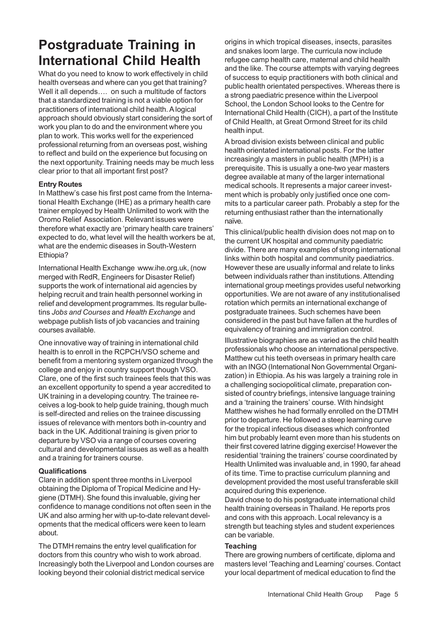### **Postgraduate Training in International Child Health**

What do you need to know to work effectively in child health overseas and where can you get that training? Well it all depends.... on such a multitude of factors that a standardized training is not a viable option for practitioners of international child health. A logical approach should obviously start considering the sort of work you plan to do and the environment where you plan to work. This works well for the experienced professional returning from an overseas post, wishing to reflect and build on the experience but focusing on the next opportunity. Training needs may be much less clear prior to that all important first post?

#### **Entry Routes**

In Matthew's case his first post came from the International Health Exchange (IHE) as a primary health care trainer employed by Health Unlimited to work with the Oromo Relief Association. Relevant issues were therefore what exactly are 'primary health care trainers' expected to do, what level will the health workers be at, what are the endemic diseases in South-Western Ethiopia?

International Health Exchange www.ihe.org.uk, (now merged with RedR, Engineers for Disaster Relief) supports the work of international aid agencies by helping recruit and train health personnel working in relief and development programmes. Its regular bulletins *Jobs and Courses* and *Health Exchange* and webpage publish lists of job vacancies and training courses available.

One innovative way of training in international child health is to enroll in the RCPCH/VSO scheme and benefit from a mentoring system organized through the college and enjoy in country support though VSO. Clare, one of the first such trainees feels that this was an excellent opportunity to spend a year accredited to UK training in a developing country. The trainee receives a log-book to help guide training, though much is self-directed and relies on the trainee discussing issues of relevance with mentors both in-country and back in the UK. Additional training is given prior to departure by VSO via a range of courses covering cultural and developmental issues as well as a health and a training for trainers course.

#### **Qualifications**

Clare in addition spent three months in Liverpool obtaining the Diploma of Tropical Medicine and Hygiene (DTMH). She found this invaluable, giving her confidence to manage conditions not often seen in the UK and also arming her with up-to-date relevant developments that the medical officers were keen to learn about.

The DTMH remains the entry level qualification for doctors from this country who wish to work abroad. Increasingly both the Liverpool and London courses are looking beyond their colonial district medical service

origins in which tropical diseases, insects, parasites and snakes loom large. The curricula now include refugee camp health care, maternal and child health and the like. The course attempts with varying degrees of success to equip practitioners with both clinical and public health orientated perspectives. Whereas there is a strong paediatric presence within the Liverpool School, the London School looks to the Centre for International Child Health (CICH), a part of the Institute of Child Health, at Great Ormond Street for its child health input.

A broad division exists between clinical and public health orientated international posts. For the latter increasingly a masters in public health (MPH) is a prerequisite. This is usually a one-two year masters degree available at many of the larger international medical schools. It represents a major career investment which is probably only justified once one commits to a particular career path. Probably a step for the returning enthusiast rather than the internationally naïve.

This clinical/public health division does not map on to the current UK hospital and community paediatric divide. There are many examples of strong international links within both hospital and community paediatrics. However these are usually informal and relate to links between individuals rather than institutions. Attending international group meetings provides useful networking opportunities. We are not aware of any institutionalised rotation which permits an international exchange of postgraduate trainees. Such schemes have been considered in the past but have fallen at the hurdles of equivalency of training and immigration control.

Illustrative biographies are as varied as the child health professionals who choose an international perspective. Matthew cut his teeth overseas in primary health care with an INGO (International Non Governmental Organization) in Ethiopia. As his was largely a training role in a challenging sociopolitical climate, preparation consisted of country briefings, intensive language training and a 'training the trainers' course. With hindsight Matthew wishes he had formally enrolled on the DTMH prior to departure. He followed a steep learning curve for the tropical infectious diseases which confronted him but probably learnt even more than his students on their first covered latrine digging exercise! However the residential 'training the trainers' course coordinated by Health Unlimited was invaluable and, in 1990, far ahead of its time. Time to practise curriculum planning and development provided the most useful transferable skill acquired during this experience.

David chose to do his postgraduate international child health training overseas in Thailand. He reports pros and cons with this approach. Local relevancy is a strength but teaching styles and student experiences can be variable.

#### **Teaching**

There are growing numbers of certificate, diploma and masters level 'Teaching and Learning' courses. Contact your local department of medical education to find the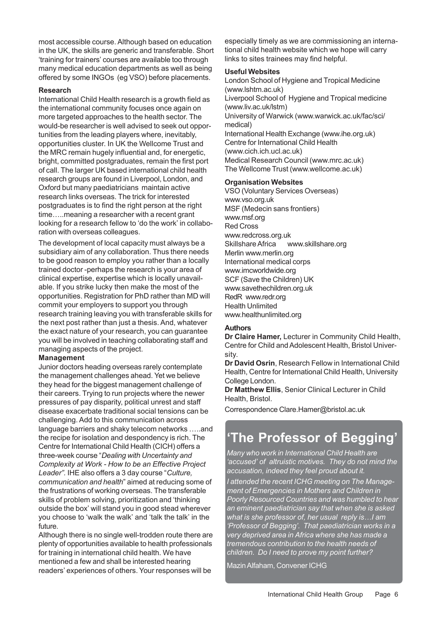most accessible course. Although based on education in the UK, the skills are generic and transferable. Short 'training for trainers' courses are available too through many medical education departments as well as being offered by some INGOs (eg VSO) before placements.

#### **Research**

International Child Health research is a growth field as the international community focuses once again on more targeted approaches to the health sector. The would-be researcher is well advised to seek out opportunities from the leading players where, inevitably, opportunities cluster. In UK the Wellcome Trust and the MRC remain hugely influential and, for energetic, bright, committed postgraduates, remain the first port of call. The larger UK based international child health research groups are found in Liverpool, London, and Oxford but many paediatricians maintain active research links overseas. The trick for interested postgraduates is to find the right person at the right time.....meaning a researcher with a recent grant looking for a research fellow to 'do the work' in collaboration with overseas colleagues.

The development of local capacity must always be a subsidiary aim of any collaboration. Thus there needs to be good reason to employ you rather than a locally trained doctor -perhaps the research is your area of clinical expertise, expertise which is locally unavailable. If you strike lucky then make the most of the opportunities. Registration for PhD rather than MD will commit your employers to support you through research training leaving you with transferable skills for the next post rather than just a thesis. And, whatever the exact nature of your research, you can guarantee you will be involved in teaching collaborating staff and managing aspects of the project.

#### **Management**

Junior doctors heading overseas rarely contemplate the management challenges ahead. Yet we believe they head for the biggest management challenge of their careers. Trying to run projects where the newer pressures of pay disparity, political unrest and staff disease exacerbate traditional social tensions can be challenging. Add to this communication across language barriers and shaky telecom networks …..and the recipe for isolation and despondency is rich. The Centre for International Child Health (CICH) offers a three-week course "*Dealing with Uncertainty and Complexity at Work - How to be an Effective Project Leader".* IHE also offers a 3 day course "*Culture, communication and health*" aimed at reducing some of the frustrations of working overseas. The transferable skills of problem solving, prioritization and 'thinking outside the box' will stand you in good stead wherever you choose to 'walk the walk' and 'talk the talk' in the future.

Although there is no single well-trodden route there are plenty of opportunities available to health professionals for training in international child health. We have mentioned a few and shall be interested hearing readers' experiences of others. Your responses will be

especially timely as we are commissioning an international child health website which we hope will carry links to sites trainees may find helpful.

#### **Useful Websites**

London School of Hygiene and Tropical Medicine (www.lshtm.ac.uk) Liverpool School of Hygiene and Tropical medicine (www.liv.ac.uk/lstm) University of Warwick (www.warwick.ac.uk/fac/sci/ medical) International Health Exchange (www.ihe.org.uk) Centre for International Child Health (www.cich.ich.ucl.ac.uk) Medical Research Council (www.mrc.ac.uk) The Wellcome Trust (www.wellcome.ac.uk)

#### **Organisation Websites**

VSO (Voluntary Services Overseas) www.vso.org.uk MSF (Medecin sans frontiers) www.msf.org Red Cross www.redcross.org.uk Skillshare Africa www.skillshare.org Merlin www.merlin.org International medical corps www.imcworldwide.org SCF (Save the Children) UK www.savethechildren.org.uk RedR www.redr.org Health Unlimited www.healthunlimited.org

#### **Authors**

**Dr Claire Hamer,** Lecturer in Community Child Health, Centre for Child and Adolescent Health, Bristol University.

**Dr David Osrin**, Research Fellow in International Child Health, Centre for International Child Health, University College London.

**Dr Matthew Ellis**, Senior Clinical Lecturer in Child Health, Bristol.

Correspondence Clare.Hamer@bristol.ac.uk

### **'The Professor of Begging'**

*Many who work in International Child Health are 'accused' of altruistic motives. They do not mind the accusation, indeed they feel proud about it.*

*I attended the recent ICHG meeting on The Management of Emergencies in Mothers and Children in Poorly Resourced Countries and was humbled to hear an eminent paediatrician say that when she is asked what is she professor of, her usual reply is…I am 'Professor of Begging'. That paediatrician works in a very deprived area in Africa where she has made a tremendous contribution to the health needs of children. Do I need to prove my point further?*

Mazin Alfaham, Convener ICHG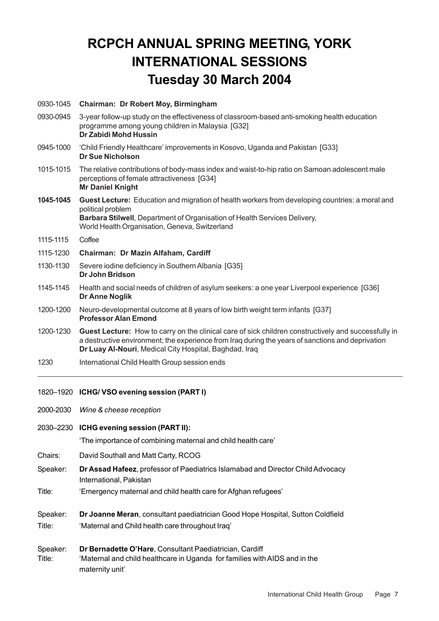## **RCPCH ANNUAL SPRING MEETING, YORK INTERNATIONAL SESSIONS Tuesday 30 March 2004**

| 0930-1045          | Chairman: Dr Robert Moy, Birmingham                                                                                                                                                                                                                                 |  |  |  |
|--------------------|---------------------------------------------------------------------------------------------------------------------------------------------------------------------------------------------------------------------------------------------------------------------|--|--|--|
| 0930-0945          | 3-year follow-up study on the effectiveness of classroom-based anti-smoking health education<br>programme among young children in Malaysia [G32]<br>Dr Zabidi Mohd Hussin                                                                                           |  |  |  |
| 0945-1000          | 'Child Friendly Healthcare' improvements in Kosovo, Uganda and Pakistan [G33]<br><b>Dr Sue Nicholson</b>                                                                                                                                                            |  |  |  |
| 1015-1015          | The relative contributions of body-mass index and waist-to-hip ratio on Samoan adolescent male<br>perceptions of female attractiveness [G34]<br><b>Mr Daniel Knight</b>                                                                                             |  |  |  |
| 1045-1045          | Guest Lecture: Education and migration of health workers from developing countries: a moral and<br>political problem<br>Barbara Stilwell, Department of Organisation of Health Services Delivery,<br>World Health Organisation, Geneva, Switzerland                 |  |  |  |
| 1115-1115          | Coffee                                                                                                                                                                                                                                                              |  |  |  |
| 1115-1230          | Chairman: Dr Mazin Alfaham, Cardiff                                                                                                                                                                                                                                 |  |  |  |
| 1130-1130          | Severe iodine deficiency in Southern Albania [G35]<br><b>Dr John Bridson</b>                                                                                                                                                                                        |  |  |  |
| 1145-1145          | Health and social needs of children of asylum seekers: a one year Liverpool experience [G36]<br><b>Dr Anne Noglik</b>                                                                                                                                               |  |  |  |
| 1200-1200          | Neuro-developmental outcome at 8 years of low birth weight term infants [G37]<br><b>Professor Alan Emond</b>                                                                                                                                                        |  |  |  |
| 1200-1230          | Guest Lecture: How to carry on the clinical care of sick children constructively and successfully in<br>a destructive environment; the experience from Iraq during the years of sanctions and deprivation<br>Dr Luay Al-Nouri, Medical City Hospital, Baghdad, Iraq |  |  |  |
| 1230               | International Child Health Group session ends                                                                                                                                                                                                                       |  |  |  |
|                    | 1820-1920 ICHG/VSO evening session (PART I)                                                                                                                                                                                                                         |  |  |  |
| 2000-2030          | Wine & cheese reception                                                                                                                                                                                                                                             |  |  |  |
|                    | 2030-2230 ICHG evening session (PART II):                                                                                                                                                                                                                           |  |  |  |
|                    | 'The importance of combining maternal and child health care'                                                                                                                                                                                                        |  |  |  |
| Chairs:            | David Southall and Matt Carty, RCOG                                                                                                                                                                                                                                 |  |  |  |
| Speaker:           | Dr Assad Hafeez, professor of Paediatrics Islamabad and Director Child Advocacy<br>International, Pakistan                                                                                                                                                          |  |  |  |
| Title:             | 'Emergency maternal and child health care for Afghan refugees'                                                                                                                                                                                                      |  |  |  |
| Speaker:           | Dr Joanne Meran, consultant paediatrician Good Hope Hospital, Sutton Coldfield                                                                                                                                                                                      |  |  |  |
| Title:             | 'Maternal and Child health care throughout Iraq'                                                                                                                                                                                                                    |  |  |  |
| Speaker:<br>Title: | Dr Bernadette O'Hare, Consultant Paediatrician, Cardiff<br>'Maternal and child healthcare in Uganda for families with AIDS and in the<br>maternity unit'                                                                                                            |  |  |  |